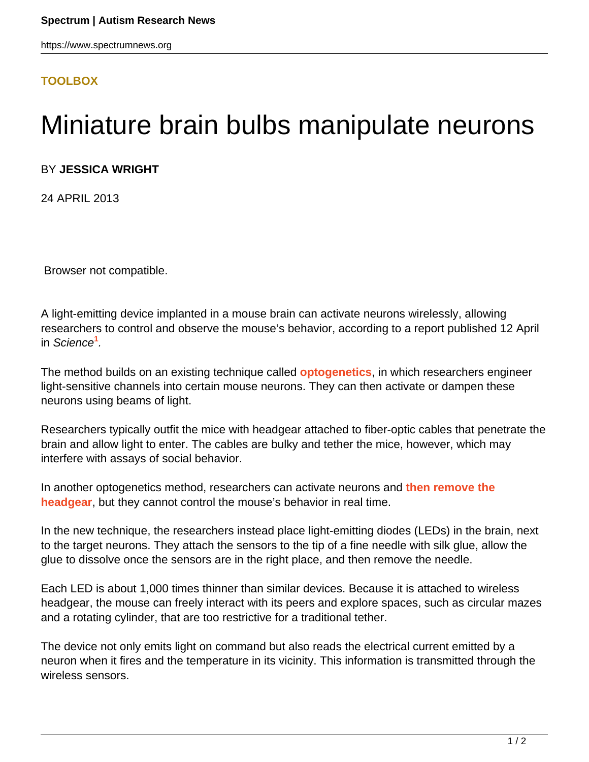## <span id="page-0-0"></span>**[TOOLBOX](HTTPS://WWW.SPECTRUMNEWS.ORG/NEWS/TOOLBOX/)**

## Miniature brain bulbs manipulate neurons

## BY **JESSICA WRIGHT**

24 APRIL 2013

Browser not compatible.

A light-emitting device implanted in a mouse brain can activate neurons wirelessly, allowing researchers to control and observe the mouse's behavior, according to a report published 12 April in Science**[1](#page-0-0)** .

The method builds on an existing technique called **[optogenetics](https://www.spectrumnews.org/conference-news/2008/society-for-neuroscience-2008/let-there-be-light)**, in which researchers engineer light-sensitive channels into certain mouse neurons. They can then activate or dampen these neurons using beams of light.

Researchers typically outfit the mice with headgear attached to fiber-optic cables that penetrate the brain and allow light to enter. The cables are bulky and tether the mice, however, which may interfere with assays of social behavior.

In another optogenetics method, researchers can activate neurons and **[then remove the](https://www.spectrumnews.org/news/2011/optogenetics-study-boosts-signal-imbalance-theory-of-autism) [headgear](https://www.spectrumnews.org/news/2011/optogenetics-study-boosts-signal-imbalance-theory-of-autism)**, but they cannot control the mouse's behavior in real time.

In the new technique, the researchers instead place light-emitting diodes (LEDs) in the brain, next to the target neurons. They attach the sensors to the tip of a fine needle with silk glue, allow the glue to dissolve once the sensors are in the right place, and then remove the needle.

Each LED is about 1,000 times thinner than similar devices. Because it is attached to wireless headgear, the mouse can freely interact with its peers and explore spaces, such as circular mazes and a rotating cylinder, that are too restrictive for a traditional tether.

The device not only emits light on command but also reads the electrical current emitted by a neuron when it fires and the temperature in its vicinity. This information is transmitted through the wireless sensors.